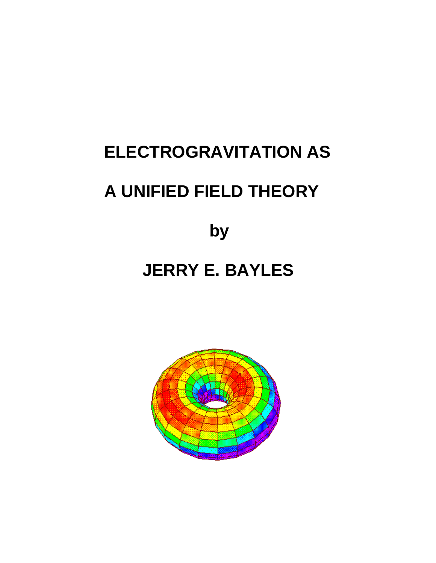# **ELECTROGRAVITATION AS A UNIFIED FIELD THEORY**

 **by**

## **JERRY E. BAYLES**

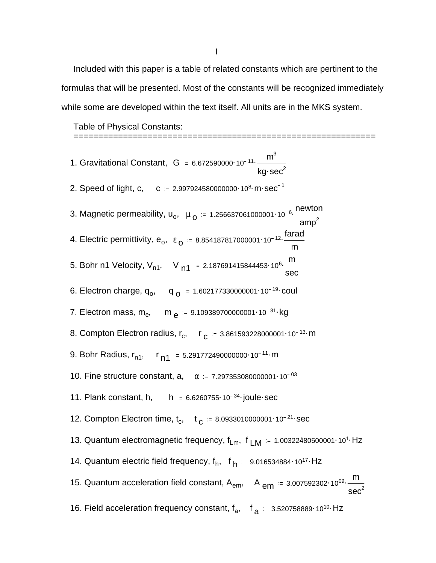Included with this paper is a table of related constants which are pertinent to the formulas that will be presented. Most of the constants will be recognized immediately while some are developed within the text itself. All units are in the MKS system.

Table of Physical Constants:

| 1. Gravitational Constant, $G = 6.672590000 \cdot 10^{-11} \cdot \frac{m^3}{kg \cdot sec^2}$                              |
|---------------------------------------------------------------------------------------------------------------------------|
| 2. Speed of light, c, c = $2.997924580000000 \cdot 10^8 \cdot m \cdot sec^{-1}$                                           |
| 3. Magnetic permeability, $u_o$ , $\mu_o$ = 1.256637061000001·10 <sup>-6.</sup> $\frac{newton}{amp^2}$                    |
| 4. Electric permittivity, $e_0$ , $\epsilon_0$ = 8.854187817000001.10 <sup>-12</sup> . $\frac{\text{farad}}{\text{arad}}$ |
| 5. Bohr n1 Velocity, $V_{n1}$ , V $_{n1}$ = 2.187691415844453 10 <sup>6</sup> m<br>sec                                    |
| 6. Electron charge, $q_0$ , $q_0 = 1.602177330000001 \cdot 10^{-19}$ coul                                                 |
| 7. Electron mass, $m_e$ , $m_e$ = 9.109389700000001.10 <sup>-31</sup> kg                                                  |
| 8. Compton Electron radius, $r_c$ , $r_c = 3.861593228000001 \cdot 10^{-13}$ m                                            |
| 9. Bohr Radius, $r_{n1}$ , $r_{n1}$ = 5.291772490000000 10 <sup>-11</sup> m                                               |
| 10. Fine structure constant, a, $\alpha = 7.297353080000001 \cdot 10^{-03}$                                               |
| 11. Plank constant, h, $h = 6.6260755 \cdot 10^{-34}$ joule sec                                                           |
| 12. Compton Electron time, $t_c$ , $t_c = 8.0933010000001 \cdot 10^{-21}$ sec                                             |
| 13. Quantum electromagnetic frequency, $f_{Lm}$ , $f_{LM}$ = 1.00322480500001·10 <sup>1</sup> ·Hz                         |
| 14. Quantum electric field frequency, $f_h$ , $f_h = 9.016534884.10^{17}$ Hz                                              |
| 15. Quantum acceleration field constant, $A_{em}$ , $A_{em}$ = 3.007592302·10 <sup>09</sup> . Sec <sup>2</sup>            |
| 16. Field acceleration frequency constant, $f_a$ , $f_a = 3.520758889 \cdot 10^{10}$ Hz                                   |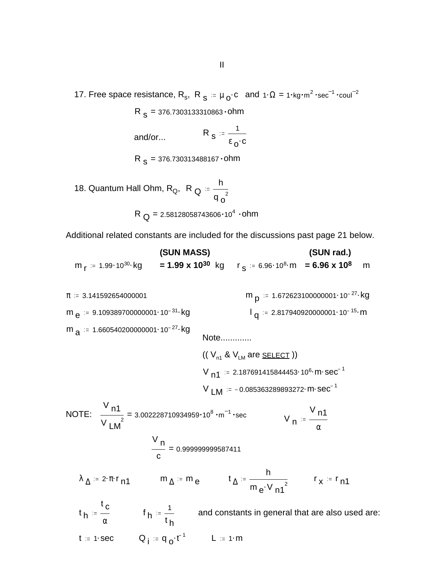17. Free space resistance, R<sub>s</sub>, R<sub>s</sub> =  $\mu_0$ ·c and 1· $\Omega = 1$ ·kg·m<sup>2</sup>·sec<sup>-1</sup>·coul<sup>-2</sup>

R <sub>S</sub> = 376.7303133310863 • ohm

R  $s = \frac{1}{2}$  $\epsilon$  o.c and/or...

 $\, {\sf R} \,$   $\, {\sf s}$  = 376.730313488167  $\cdot$  0hm

18. Quantum Hall Ohm, R<sub>Q</sub>, R <sub>Q</sub> h  $q_o^2$  $R$   $_{\rm Q}$  = 2.58128058743606 $\cdot$ 10 $^4$   $\cdot$ ohm

Additional related constants are included for the discussions past page 21 below.

**(SUN MASS) (SUN rad.)** m <sub>r</sub> = 1.99·10<sup>30</sup>·kg **= 1.99 x 10<sup>30</sup>** kg r <sub>S</sub> = 6.96·10<sup>8</sup>·m **= 6.96 x 10<sup>8</sup> m** 

 $\pi$  = 3.141592654000001  $m_{p}$  := 1.672623100000001 10<sup>-27</sup> kg  $m_{e}$  = 9.109389700000001 $\cdot$ 10<sup>-31</sup> $\cdot$ kg l q  $1_{\text{q}} = 2.817940920000001 \cdot 10^{-15} \text{ m}$ m  $_{\rm a}$  := 1.660540200000001 $\cdot$ 10<sup>-27</sup> $\cdot$ kg Note.............  $(( V_{n1} 8 V_{LM}$  are **SELECT**))  $V_{n1}$  = 2.187691415844453 · 10<sup>6</sup> · m · sec<sup>-1</sup>  $V$  LM  $=$  -0.085363289893272 m sec<sup>-1</sup> NOTE:  $\frac{111}{100}$  =  $V_{\sf n1}$  $\frac{111}{\text{V}}$  = 3.002228710934959 $\cdot$ 10<sup>8</sup>  $\cdot$ m<sup>-1</sup> sec V <sub>n</sub>  $V_{\sf n1}$ α = V n c 0.999999999587411  $\lambda_{\Delta} = 2 \cdot \pi \cdot r_{n1}$  m  $\Delta = m_e$  t<sub> $\Delta$ </sub> h  $\frac{1}{m_e \cdot V_{n1}^2}$   $r_x = r_{n1}$ t h t c  $\frac{c}{\alpha}$  f<sub>h</sub> =  $\frac{1}{t_h}$ t h and constants in general that are also used are: t := 1·sec  $Q_{\parallel}$  := q<sub>o</sub>·t<sup>-1</sup>  $L$  := 1·m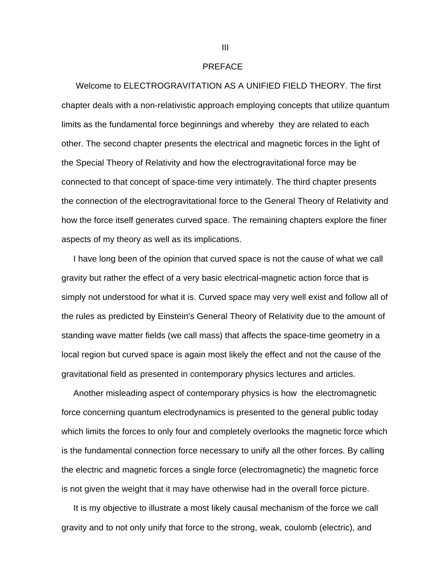#### PREFACE

 Welcome to ELECTROGRAVITATION AS A UNIFIED FIELD THEORY. The first chapter deals with a non-relativistic approach employing concepts that utilize quantum limits as the fundamental force beginnings and whereby they are related to each other. The second chapter presents the electrical and magnetic forces in the light of the Special Theory of Relativity and how the electrogravitational force may be connected to that concept of space-time very intimately. The third chapter presents the connection of the electrogravitational force to the General Theory of Relativity and how the force itself generates curved space. The remaining chapters explore the finer aspects of my theory as well as its implications.

 I have long been of the opinion that curved space is not the cause of what we call gravity but rather the effect of a very basic electrical-magnetic action force that is simply not understood for what it is. Curved space may very well exist and follow all of the rules as predicted by Einstein's General Theory of Relativity due to the amount of standing wave matter fields (we call mass) that affects the space-time geometry in a local region but curved space is again most likely the effect and not the cause of the gravitational field as presented in contemporary physics lectures and articles.

 Another misleading aspect of contemporary physics is how the electromagnetic force concerning quantum electrodynamics is presented to the general public today which limits the forces to only four and completely overlooks the magnetic force which is the fundamental connection force necessary to unify all the other forces. By calling the electric and magnetic forces a single force (electromagnetic) the magnetic force is not given the weight that it may have otherwise had in the overall force picture.

 It is my objective to illustrate a most likely causal mechanism of the force we call gravity and to not only unify that force to the strong, weak, coulomb (electric), and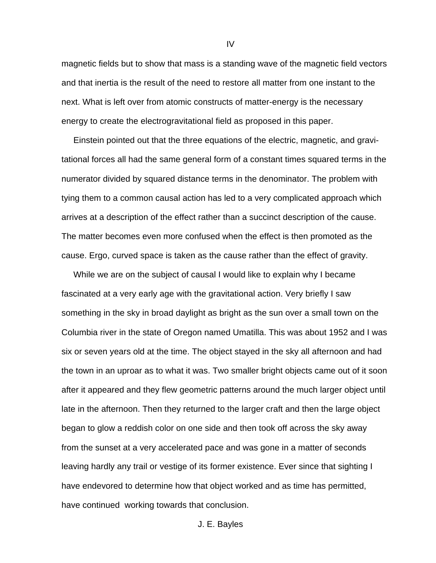magnetic fields but to show that mass is a standing wave of the magnetic field vectors and that inertia is the result of the need to restore all matter from one instant to the next. What is left over from atomic constructs of matter-energy is the necessary energy to create the electrogravitational field as proposed in this paper.

 Einstein pointed out that the three equations of the electric, magnetic, and gravitational forces all had the same general form of a constant times squared terms in the numerator divided by squared distance terms in the denominator. The problem with tying them to a common causal action has led to a very complicated approach which arrives at a description of the effect rather than a succinct description of the cause. The matter becomes even more confused when the effect is then promoted as the cause. Ergo, curved space is taken as the cause rather than the effect of gravity.

 While we are on the subject of causal I would like to explain why I became fascinated at a very early age with the gravitational action. Very briefly I saw something in the sky in broad daylight as bright as the sun over a small town on the Columbia river in the state of Oregon named Umatilla. This was about 1952 and I was six or seven years old at the time. The object stayed in the sky all afternoon and had the town in an uproar as to what it was. Two smaller bright objects came out of it soon after it appeared and they flew geometric patterns around the much larger object until late in the afternoon. Then they returned to the larger craft and then the large object began to glow a reddish color on one side and then took off across the sky away from the sunset at a very accelerated pace and was gone in a matter of seconds leaving hardly any trail or vestige of its former existence. Ever since that sighting I have endevored to determine how that object worked and as time has permitted, have continued working towards that conclusion.

IV

J. E. Bayles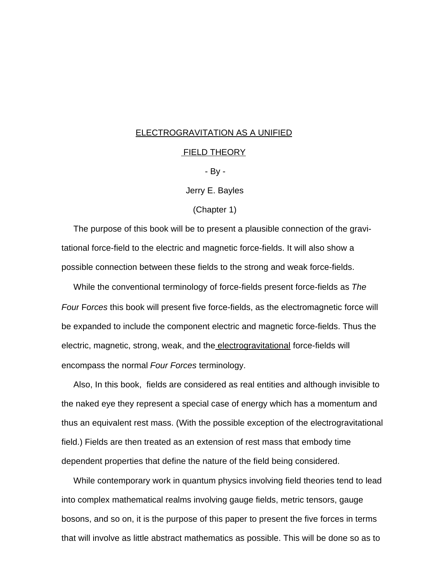#### ELECTROGRAVITATION AS A UNIFIED

#### FIELD THEORY

- By -

Jerry E. Bayles

(Chapter 1)

 The purpose of this book will be to present a plausible connection of the gravitational force-field to the electric and magnetic force-fields. It will also show a possible connection between these fields to the strong and weak force-fields.

 While the conventional terminology of force-fields present force-fields as *The Four* F*orces* this book will present five force-fields, as the electromagnetic force will be expanded to include the component electric and magnetic force-fields. Thus the electric, magnetic, strong, weak, and the electrogravitational force-fields will encompass the normal *Four Forces* terminology.

 Also, In this book, fields are considered as real entities and although invisible to the naked eye they represent a special case of energy which has a momentum and thus an equivalent rest mass. (With the possible exception of the electrogravitational field.) Fields are then treated as an extension of rest mass that embody time dependent properties that define the nature of the field being considered.

 While contemporary work in quantum physics involving field theories tend to lead into complex mathematical realms involving gauge fields, metric tensors, gauge bosons, and so on, it is the purpose of this paper to present the five forces in terms that will involve as little abstract mathematics as possible. This will be done so as to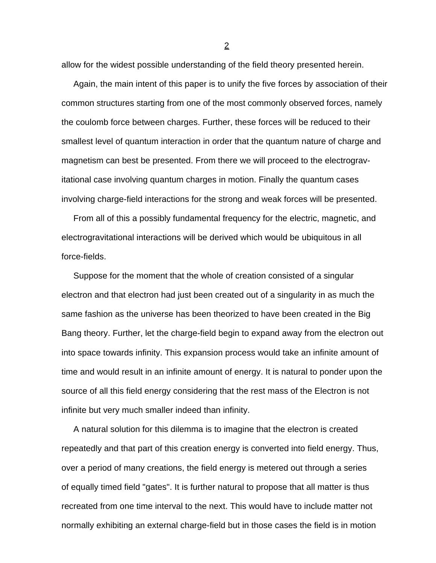allow for the widest possible understanding of the field theory presented herein.

 Again, the main intent of this paper is to unify the five forces by association of their common structures starting from one of the most commonly observed forces, namely the coulomb force between charges. Further, these forces will be reduced to their smallest level of quantum interaction in order that the quantum nature of charge and magnetism can best be presented. From there we will proceed to the electrogravitational case involving quantum charges in motion. Finally the quantum cases involving charge-field interactions for the strong and weak forces will be presented.

 From all of this a possibly fundamental frequency for the electric, magnetic, and electrogravitational interactions will be derived which would be ubiquitous in all force-fields.

 Suppose for the moment that the whole of creation consisted of a singular electron and that electron had just been created out of a singularity in as much the same fashion as the universe has been theorized to have been created in the Big Bang theory. Further, let the charge-field begin to expand away from the electron out into space towards infinity. This expansion process would take an infinite amount of time and would result in an infinite amount of energy. It is natural to ponder upon the source of all this field energy considering that the rest mass of the Electron is not infinite but very much smaller indeed than infinity.

 A natural solution for this dilemma is to imagine that the electron is created repeatedly and that part of this creation energy is converted into field energy. Thus, over a period of many creations, the field energy is metered out through a series of equally timed field "gates". It is further natural to propose that all matter is thus recreated from one time interval to the next. This would have to include matter not normally exhibiting an external charge-field but in those cases the field is in motion

<u>2</u>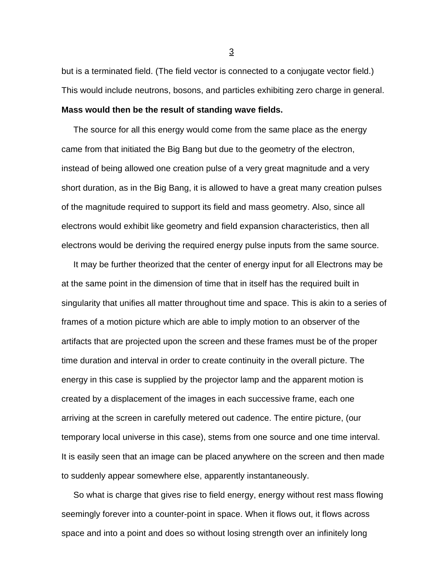but is a terminated field. (The field vector is connected to a conjugate vector field.) This would include neutrons, bosons, and particles exhibiting zero charge in general. **Mass would then be the result of standing wave fields.**

The source for all this energy would come from the same place as the energy came from that initiated the Big Bang but due to the geometry of the electron, instead of being allowed one creation pulse of a very great magnitude and a very short duration, as in the Big Bang, it is allowed to have a great many creation pulses of the magnitude required to support its field and mass geometry. Also, since all electrons would exhibit like geometry and field expansion characteristics, then all electrons would be deriving the required energy pulse inputs from the same source.

 It may be further theorized that the center of energy input for all Electrons may be at the same point in the dimension of time that in itself has the required built in singularity that unifies all matter throughout time and space. This is akin to a series of frames of a motion picture which are able to imply motion to an observer of the artifacts that are projected upon the screen and these frames must be of the proper time duration and interval in order to create continuity in the overall picture. The energy in this case is supplied by the projector lamp and the apparent motion is created by a displacement of the images in each successive frame, each one arriving at the screen in carefully metered out cadence. The entire picture, (our temporary local universe in this case), stems from one source and one time interval. It is easily seen that an image can be placed anywhere on the screen and then made to suddenly appear somewhere else, apparently instantaneously.

 So what is charge that gives rise to field energy, energy without rest mass flowing seemingly forever into a counter-point in space. When it flows out, it flows across space and into a point and does so without losing strength over an infinitely long

 $\frac{3}{2}$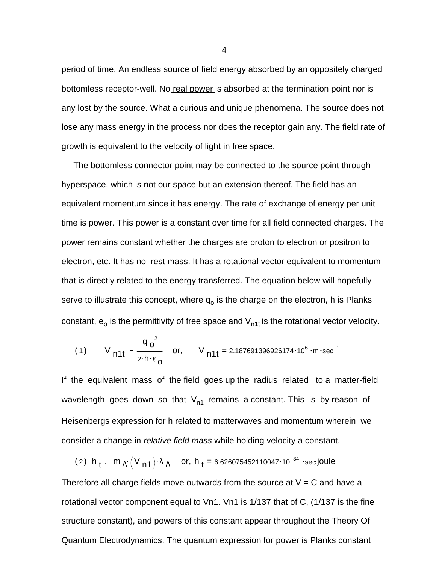period of time. An endless source of field energy absorbed by an oppositely charged bottomless receptor-well. No real power is absorbed at the termination point nor is any lost by the source. What a curious and unique phenomena. The source does not lose any mass energy in the process nor does the receptor gain any. The field rate of growth is equivalent to the velocity of light in free space.

 The bottomless connector point may be connected to the source point through hyperspace, which is not our space but an extension thereof. The field has an equivalent momentum since it has energy. The rate of exchange of energy per unit time is power. This power is a constant over time for all field connected charges. The power remains constant whether the charges are proton to electron or positron to electron, etc. It has no rest mass. It has a rotational vector equivalent to momentum that is directly related to the energy transferred. The equation below will hopefully serve to illustrate this concept, where  $\mathsf{q}_\textup{o}$  is the charge on the electron, h is Planks constant,  $\mathsf{e}_\mathsf{o}$  is the permittivity of free space and  $\mathsf{V}_{\mathsf{n1t}}$  is the rotational vector velocity.

(1) 
$$
V_{n11} = \frac{q_0^2}{2 \cdot h \cdot \epsilon_0}
$$
 or,  $V_{n11} = 2.187691396926174 \cdot 10^6 \cdot m \cdot sec^{-1}$ 

If the equivalent mass of the field goes up the radius related to a matter-field wavelength goes down so that  $V_{n1}$  remains a constant. This is by reason of Heisenbergs expression for h related to matterwaves and momentum wherein we consider a change in *relative field mass* while holding velocity a constant.

(2) 
$$
h_t = m_{\Delta} (V_{n1}) \cdot \lambda_{\Delta}
$$
 or,  $h_t = 6.626075452110047 \cdot 10^{-34}$  'see joule

Therefore all charge fields move outwards from the source at  $V = C$  and have a rotational vector component equal to Vn1. Vn1 is 1/137 that of C, (1/137 is the fine structure constant), and powers of this constant appear throughout the Theory Of Quantum Electrodynamics. The quantum expression for power is Planks constant

4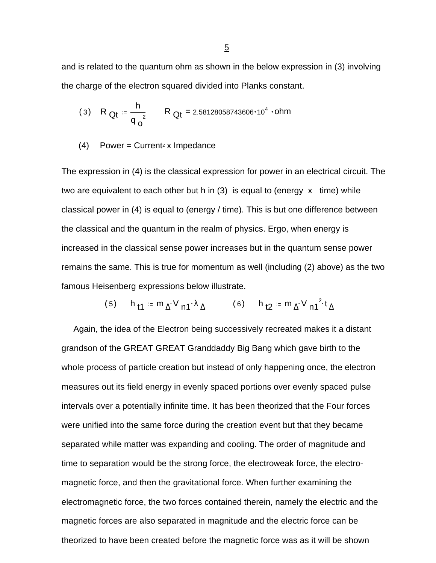and is related to the quantum ohm as shown in the below expression in (3) involving the charge of the electron squared divided into Planks constant.

(3) R<sub>Qt</sub> := 
$$
\frac{h}{q_0^2}
$$
 R<sub>Qt</sub> = 2.58128058743606·10<sup>4</sup> · ohm

 $(4)$  Power = Current<sup>2</sup> x Impedance

The expression in (4) is the classical expression for power in an electrical circuit. The two are equivalent to each other but h in  $(3)$  is equal to (energy x time) while classical power in (4) is equal to (energy / time). This is but one difference between the classical and the quantum in the realm of physics. Ergo, when energy is increased in the classical sense power increases but in the quantum sense power remains the same. This is true for momentum as well (including (2) above) as the two famous Heisenberg expressions below illustrate.

$$
(5) \qquad h_{\mathsf{t1}} := m_{\Delta} \cdot V_{\mathsf{n1}} \cdot \lambda_{\Delta} \qquad \qquad (6) \qquad h_{\mathsf{t2}} := m_{\Delta} \cdot V_{\mathsf{n1}}^2 \cdot t_{\Delta}
$$

 Again, the idea of the Electron being successively recreated makes it a distant grandson of the GREAT GREAT Granddaddy Big Bang which gave birth to the whole process of particle creation but instead of only happening once, the electron measures out its field energy in evenly spaced portions over evenly spaced pulse intervals over a potentially infinite time. It has been theorized that the Four forces were unified into the same force during the creation event but that they became separated while matter was expanding and cooling. The order of magnitude and time to separation would be the strong force, the electroweak force, the electromagnetic force, and then the gravitational force. When further examining the electromagnetic force, the two forces contained therein, namely the electric and the magnetic forces are also separated in magnitude and the electric force can be theorized to have been created before the magnetic force was as it will be shown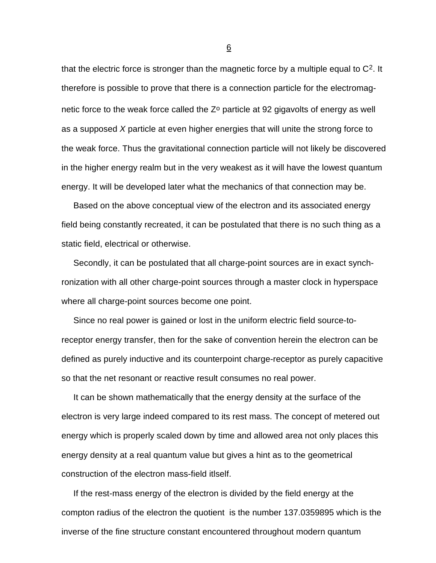that the electric force is stronger than the magnetic force by a multiple equal to C2. It therefore is possible to prove that there is a connection particle for the electromagnetic force to the weak force called the  $Z<sup>o</sup>$  particle at 92 gigavolts of energy as well as a supposed *X* particle at even higher energies that will unite the strong force to the weak force. Thus the gravitational connection particle will not likely be discovered in the higher energy realm but in the very weakest as it will have the lowest quantum energy. It will be developed later what the mechanics of that connection may be.

 Based on the above conceptual view of the electron and its associated energy field being constantly recreated, it can be postulated that there is no such thing as a static field, electrical or otherwise.

 Secondly, it can be postulated that all charge-point sources are in exact synchronization with all other charge-point sources through a master clock in hyperspace where all charge-point sources become one point.

 Since no real power is gained or lost in the uniform electric field source-toreceptor energy transfer, then for the sake of convention herein the electron can be defined as purely inductive and its counterpoint charge-receptor as purely capacitive so that the net resonant or reactive result consumes no real power.

 It can be shown mathematically that the energy density at the surface of the electron is very large indeed compared to its rest mass. The concept of metered out energy which is properly scaled down by time and allowed area not only places this energy density at a real quantum value but gives a hint as to the geometrical construction of the electron mass-field itlself.

 If the rest-mass energy of the electron is divided by the field energy at the compton radius of the electron the quotient is the number 137.0359895 which is the inverse of the fine structure constant encountered throughout modern quantum

 $\overline{6}$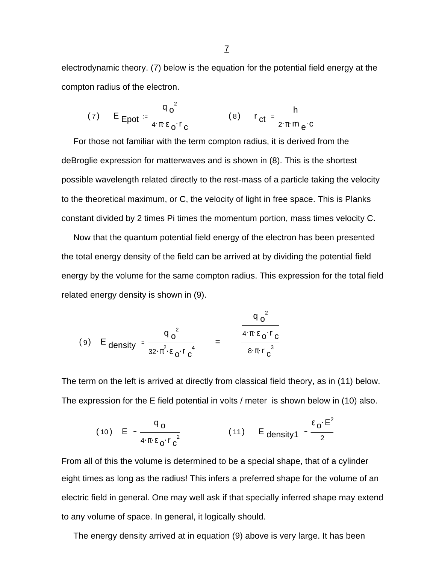electrodynamic theory. (7) below is the equation for the potential field energy at the compton radius of the electron.

(7) 
$$
E_{\text{Epot}} = \frac{q_0^2}{4 \cdot \pi \cdot \varepsilon_0 \cdot r_c}
$$
 (8)  $r_{\text{ct}} = \frac{h}{2 \cdot \pi \cdot m_e \cdot c}$ 

 For those not familiar with the term compton radius, it is derived from the deBroglie expression for matterwaves and is shown in (8). This is the shortest possible wavelength related directly to the rest-mass of a particle taking the velocity to the theoretical maximum, or C, the velocity of light in free space. This is Planks constant divided by 2 times Pi times the momentum portion, mass times velocity C.

 Now that the quantum potential field energy of the electron has been presented the total energy density of the field can be arrived at by dividing the potential field energy by the volume for the same compton radius. This expression for the total field related energy density is shown in (9).

$$
(9) \quad \mathsf{E}_{\mathsf{density}} \coloneqq \frac{q_0^2}{32 \cdot \pi^2 \cdot \varepsilon_0 \cdot r_0^4} \qquad = \qquad \frac{q_0^2}{4 \cdot \pi \cdot \varepsilon_0 \cdot r_0^3}
$$

The term on the left is arrived at directly from classical field theory, as in (11) below. The expression for the E field potential in volts / meter is shown below in (10) also.

(10) 
$$
E = \frac{q_0}{4 \pi \epsilon_0 \cdot r_c^2}
$$
 (11)  $E_{density1} = \frac{\epsilon_0 \cdot E^2}{2}$ 

From all of this the volume is determined to be a special shape, that of a cylinder eight times as long as the radius! This infers a preferred shape for the volume of an electric field in general. One may well ask if that specially inferred shape may extend to any volume of space. In general, it logically should.

The energy density arrived at in equation (9) above is very large. It has been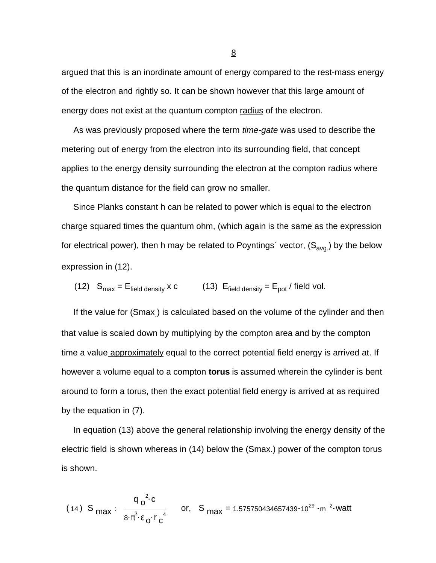argued that this is an inordinate amount of energy compared to the rest-mass energy of the electron and rightly so. It can be shown however that this large amount of energy does not exist at the quantum compton radius of the electron.

 As was previously proposed where the term *time-gate* was used to describe the metering out of energy from the electron into its surrounding field, that concept applies to the energy density surrounding the electron at the compton radius where the quantum distance for the field can grow no smaller.

 Since Planks constant h can be related to power which is equal to the electron charge squared times the quantum ohm, (which again is the same as the expression for electrical power), then h may be related to Poyntings` vector,  $(S_{avg.})$  by the below expression in (12).

(12) 
$$
S_{max} = E_{field density} \times c
$$
 (13)  $E_{field density} = E_{pot} / field vol.$ 

If the value for (Smax) is calculated based on the volume of the cylinder and then that value is scaled down by multiplying by the compton area and by the compton time a value approximately equal to the correct potential field energy is arrived at. If however a volume equal to a compton **torus** is assumed wherein the cylinder is bent around to form a torus, then the exact potential field energy is arrived at as required by the equation in (7).

 In equation (13) above the general relationship involving the energy density of the electric field is shown whereas in (14) below the (Smax.) power of the compton torus is shown.

(14) S<sub>max</sub> := 
$$
\frac{q_0^2 c}{8 \cdot \pi^3 \cdot \epsilon_0 \cdot r_0^4}
$$
 or, S<sub>max</sub> = 1.575750434657439·10<sup>29</sup>·m<sup>-2</sup>·watt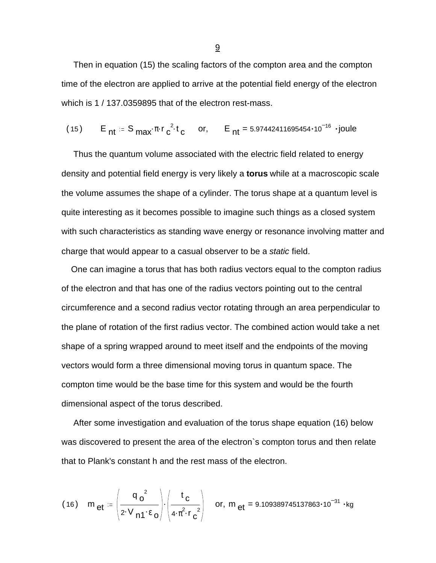Then in equation (15) the scaling factors of the compton area and the compton time of the electron are applied to arrive at the potential field energy of the electron which is 1 / 137.0359895 that of the electron rest-mass.

(15) 
$$
E_{nt} = S_{max} \pi r^2 t_c
$$
 or,  $E_{nt} = 5.97442411695454 \cdot 10^{-16}$  joule

 Thus the quantum volume associated with the electric field related to energy density and potential field energy is very likely a **torus** while at a macroscopic scale the volume assumes the shape of a cylinder. The torus shape at a quantum level is quite interesting as it becomes possible to imagine such things as a closed system with such characteristics as standing wave energy or resonance involving matter and charge that would appear to a casual observer to be a *static* field.

 One can imagine a torus that has both radius vectors equal to the compton radius of the electron and that has one of the radius vectors pointing out to the central circumference and a second radius vector rotating through an area perpendicular to the plane of rotation of the first radius vector. The combined action would take a net shape of a spring wrapped around to meet itself and the endpoints of the moving vectors would form a three dimensional moving torus in quantum space. The compton time would be the base time for this system and would be the fourth dimensional aspect of the torus described.

 After some investigation and evaluation of the torus shape equation (16) below was discovered to present the area of the electron`s compton torus and then relate that to Plank's constant h and the rest mass of the electron.

(16) 
$$
m_{et} = \left(\frac{q_0^2}{2 \cdot V_{n1} \cdot \epsilon_0}\right) \cdot \left(\frac{t_c}{4 \cdot \pi^2 \cdot r_c^2}\right)
$$
 or,  $m_{et} = 9.109389745137863 \cdot 10^{-31} \cdot kg$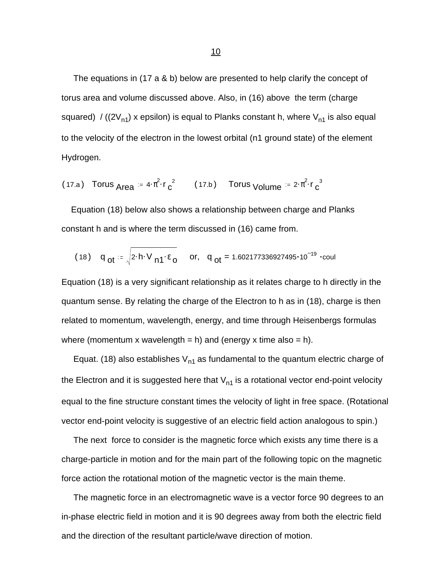The equations in (17 a & b) below are presented to help clarify the concept of torus area and volume discussed above. Also, in (16) above the term (charge squared) / ((2 $V_{n1}$ ) x epsilon) is equal to Planks constant h, where  $V_{n1}$  is also equal to the velocity of the electron in the lowest orbital (n1 ground state) of the element Hydrogen.

(17.a) Torus 
$$
Area = 4 \cdot \pi^2 \cdot r_c^2
$$
 (17.b) Torus Volume =  $2 \cdot \pi^2 \cdot r_c^3$ 

 Equation (18) below also shows a relationship between charge and Planks constant h and is where the term discussed in (16) came from.

(18) 
$$
q_{ot} = \sqrt{2 \cdot h \cdot V_{n1} \cdot \epsilon_0}
$$
 or,  $q_{ot} = 1.602177336927495 \cdot 10^{-19} \cdot \text{coul}$ 

Equation (18) is a very significant relationship as it relates charge to h directly in the quantum sense. By relating the charge of the Electron to h as in (18), charge is then related to momentum, wavelength, energy, and time through Heisenbergs formulas where (momentum x wavelength = h) and (energy x time also = h).

Equat. (18) also establishes  $V_{n1}$  as fundamental to the quantum electric charge of the Electron and it is suggested here that  $V_{n1}$  is a rotational vector end-point velocity equal to the fine structure constant times the velocity of light in free space. (Rotational vector end-point velocity is suggestive of an electric field action analogous to spin.)

 The next force to consider is the magnetic force which exists any time there is a charge-particle in motion and for the main part of the following topic on the magnetic force action the rotational motion of the magnetic vector is the main theme.

 The magnetic force in an electromagnetic wave is a vector force 90 degrees to an in-phase electric field in motion and it is 90 degrees away from both the electric field and the direction of the resultant particle/wave direction of motion.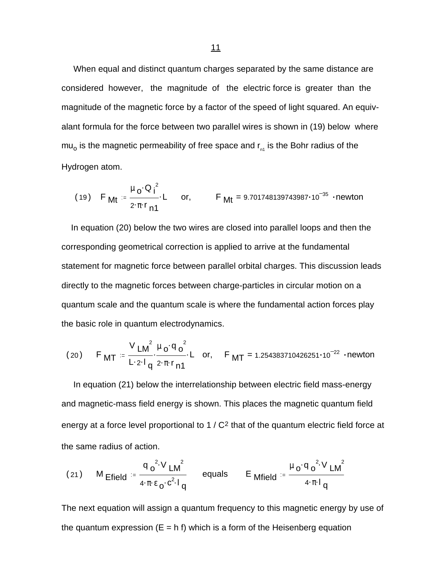When equal and distinct quantum charges separated by the same distance are considered however, the magnitude of the electric force is greater than the magnitude of the magnetic force by a factor of the speed of light squared. An equivalant formula for the force between two parallel wires is shown in (19) below where mu<sub>o</sub> is the magnetic permeability of free space and r<sub>n1</sub> is the Bohr radius of the Hydrogen atom.

(19) 
$$
F_{Mt} = \frac{\mu_0 \cdot Q_i^2}{2 \cdot \pi \cdot r_{n1}}
$$
. L or,  $F_{Mt} = 9.701748139743987 \cdot 10^{-35}$  -newton

 In equation (20) below the two wires are closed into parallel loops and then the corresponding geometrical correction is applied to arrive at the fundamental statement for magnetic force between parallel orbital charges. This discussion leads directly to the magnetic forces between charge-particles in circular motion on a quantum scale and the quantum scale is where the fundamental action forces play the basic role in quantum electrodynamics.

(20) 
$$
F_{MT} = \frac{V_{LM}^2}{L \cdot 2 \cdot 1} \frac{\mu_0 \cdot q_0^2}{q^2 \pi r_{n1}}
$$
. L or,  $F_{MT} = 1.254383710426251 \cdot 10^{-22}$  -newton

 In equation (21) below the interrelationship between electric field mass-energy and magnetic-mass field energy is shown. This places the magnetic quantum field energy at a force level proportional to 1 / C<sup>2</sup> that of the quantum electric field force at the same radius of action.

(21) M Efield = 
$$
\frac{q_0^2 V L M^2}{4 \cdot \pi \cdot \epsilon_0 \cdot c^2 I_q}
$$
 equals E Mfield = 
$$
\frac{\mu_0 q_0^2 V L M^2}{4 \cdot \pi I_q}
$$

The next equation will assign a quantum frequency to this magnetic energy by use of the quantum expression  $(E = h f)$  which is a form of the Heisenberg equation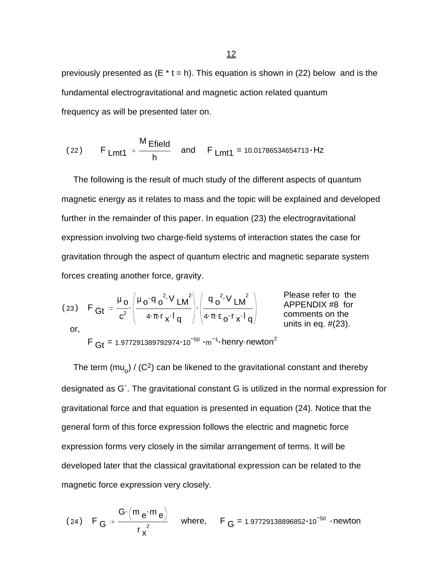previously presented as  $(E * t = h)$ . This equation is shown in (22) below and is the fundamental electrogravitational and magnetic action related quantum frequency as will be presented later on.

(22) F Lmt1 = 
$$
\frac{M \text{Efield}}{h}
$$
 and F Lmt1 = 10.01786534654713·Hz

 The following is the result of much study of the different aspects of quantum magnetic energy as it relates to mass and the topic will be explained and developed further in the remainder of this paper. In equation (23) the electrogravitational expression involving two charge-field systems of interaction states the case for gravitation through the aspect of quantum electric and magnetic separate system forces creating another force, gravity.

(23) 
$$
F_{\text{G}t} = \frac{\mu_0}{c^2} \cdot \left( \frac{\mu_0 \cdot q_0^2 \cdot V_{\text{LM}}}{4 \cdot \pi \cdot r_x \cdot l_q} \right) \cdot \left( \frac{q_0^2 \cdot V_{\text{LM}}}{4 \cdot \pi \cdot \epsilon_0 \cdot r_x \cdot l_q} \right)
$$
 Please refer to the  
appENDIX #8 for comments on the units in eq. #(23).

 $\mathsf{F}\ \mathsf{G} \mathsf{t}$  = 1.977291389792974 $\cdot$ 10 $^{-50}\ \cdot$ m $^{-1}\cdot$ henry $\cdot$ newton $^2$ 

The term (mu<sub>o</sub>) / (C<sup>2</sup>) can be likened to the gravitational constant and thereby designated as G`. The gravitational constant G is utilized in the normal expression for gravitational force and that equation is presented in equation (24). Notice that the general form of this force expression follows the electric and magnetic force expression forms very closely in the similar arrangement of terms. It will be developed later that the classical gravitational expression can be related to the magnetic force expression very closely.

(24) 
$$
F_G = \frac{G \cdot (m_e \cdot m_e)}{r_x^2}
$$
 where,  $F_G = 1.97729138896852 \cdot 10^{-50}$  -newton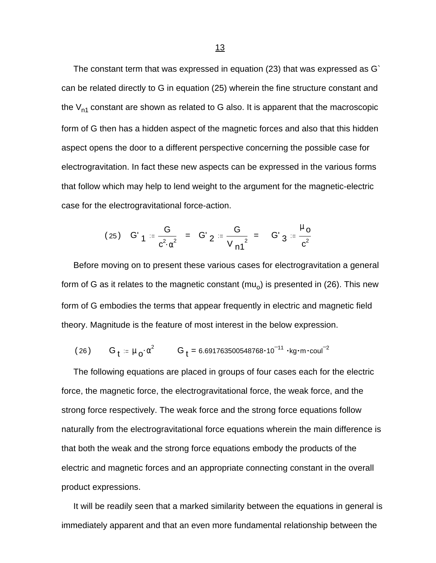The constant term that was expressed in equation (23) that was expressed as G` can be related directly to G in equation (25) wherein the fine structure constant and the  $V_{n1}$  constant are shown as related to G also. It is apparent that the macroscopic form of G then has a hidden aspect of the magnetic forces and also that this hidden aspect opens the door to a different perspective concerning the possible case for electrogravitation. In fact these new aspects can be expressed in the various forms that follow which may help to lend weight to the argument for the magnetic-electric case for the electrogravitational force-action.

(25) 
$$
G'_{1} = \frac{G}{c^{2} \cdot \alpha^{2}} = G'_{2} = \frac{G}{V_{11}^{2}} = G'_{3} = \frac{\mu_{0}}{c^{2}}
$$

 Before moving on to present these various cases for electrogravitation a general form of G as it relates to the magnetic constant (mu<sub>o</sub>) is presented in (26). This new form of G embodies the terms that appear frequently in electric and magnetic field theory. Magnitude is the feature of most interest in the below expression.

(26) 
$$
G_t = \mu_0 \cdot \alpha^2
$$
  $G_t = 6.691763500548768 \cdot 10^{-11} \cdot kg \cdot m \cdot coul^2$ 

 The following equations are placed in groups of four cases each for the electric force, the magnetic force, the electrogravitational force, the weak force, and the strong force respectively. The weak force and the strong force equations follow naturally from the electrogravitational force equations wherein the main difference is that both the weak and the strong force equations embody the products of the electric and magnetic forces and an appropriate connecting constant in the overall product expressions.

 It will be readily seen that a marked similarity between the equations in general is immediately apparent and that an even more fundamental relationship between the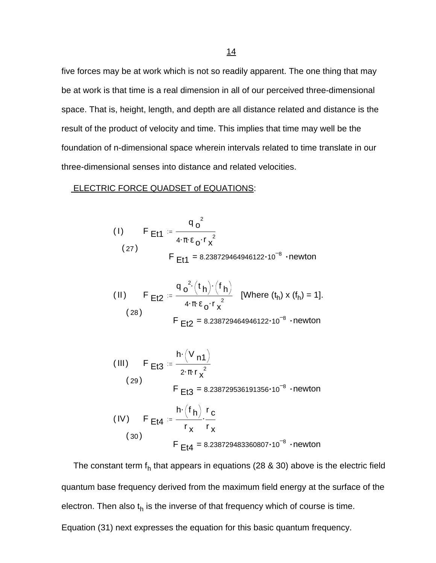five forces may be at work which is not so readily apparent. The one thing that may be at work is that time is a real dimension in all of our perceived three-dimensional space. That is, height, length, and depth are all distance related and distance is the result of the product of velocity and time. This implies that time may well be the foundation of n-dimensional space wherein intervals related to time translate in our three-dimensional senses into distance and related velocities.

#### ELECTRIC FORCE QUADSET of EQUATIONS:

(1) 
$$
F_{Et1} = \frac{q_0^2}{4 \cdot \pi \epsilon_0 \cdot r_x^2}
$$
  
\n(27)  $F_{Et1} = 8.238729464946122 \cdot 10^{-8} \cdot newton$ 

(II) 
$$
F_{E12} = \frac{q_0^2 (t_h) (f_h)}{4 \cdot \pi \epsilon_0 \cdot r_x^2}
$$
 [Where  $(t_h) \times (f_h) = 1$ ].  
\n(28)  $F_{E12} = 8.238729464946122 \cdot 10^{-8}$  - newton

(III) 
$$
F_{E13} = \frac{h \cdot (V_{n1})}{2 \cdot \pi \cdot r_x^2}
$$
  
\n(29)  $F_{E13} = 8.238729536191356 \cdot 10^{-8} \cdot \text{newton}$   
\n(IV)  $F_{E14} = \frac{h \cdot (f_h)}{r_x} \cdot \frac{r_c}{r_x}$   
\n(30)  $F_{E14} = 8.238729483360807 \cdot 10^{-8} \cdot \text{newton}$ 

The constant term  $f_h$  that appears in equations (28 & 30) above is the electric field quantum base frequency derived from the maximum field energy at the surface of the electron. Then also t<sub>h</sub> is the inverse of that frequency which of course is time. Equation (31) next expresses the equation for this basic quantum frequency.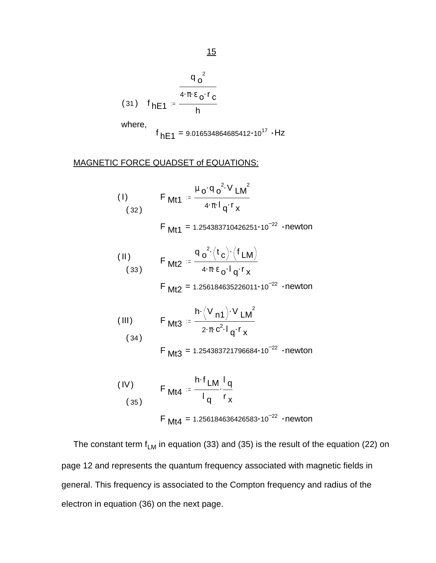$$
\frac{q_0^2}{4 \pi \epsilon_0 r_0}
$$
\n(31)  $f_{\text{hE1}} = \frac{4 \pi \epsilon_0 r_0}{h}$ 

where,

$$
f_{hE1} = 9.016534864685412 \cdot 10^{17}
$$
 · Hz

### MAGNETIC FORCE QUADSET of EQUATIONS:

(1) 
$$
F_{Mt1} = \frac{\mu_0 q_0^2 V_{LM}^2}{4 \pi I_q r_x}
$$

F  $Mt1 = 1.254383710426251 \cdot 10^{-22}$  · newton

(II) 
$$
F_{Mt2} = \frac{q_0^2 (t_c) (f_{LM})}{4 \cdot \pi \epsilon_0 1 q^r x}
$$

 $\mathsf{F}$  Mt2 = 1.256184635226011 $\cdot$ 10 $^{-22}$   $\cdot$ newton

(III) 
$$
F_{Mt3} = \frac{h \cdot (V_{n1}) \cdot V_{LM}^2}{2 \cdot \pi \cdot c^2 \cdot I_{q} r_{x}}
$$
  
(34)

 $F_{\text{Mt3}}$  = 1.254383721796684 $\cdot$ 10<sup>-22</sup>  $\cdot$ newton

(IV) 
$$
F_{Mt4} = \frac{h \cdot f_{LM}}{I_q} \cdot \frac{I_q}{r_x}
$$
  
 
$$
F_{Mt4} = 1.256184636426583 \cdot 10^{-22} \cdot newton
$$

The constant term  $f_{LM}$  in equation (33) and (35) is the result of the equation (22) on page 12 and represents the quantum frequency associated with magnetic fields in general. This frequency is associated to the Compton frequency and radius of the electron in equation (36) on the next page.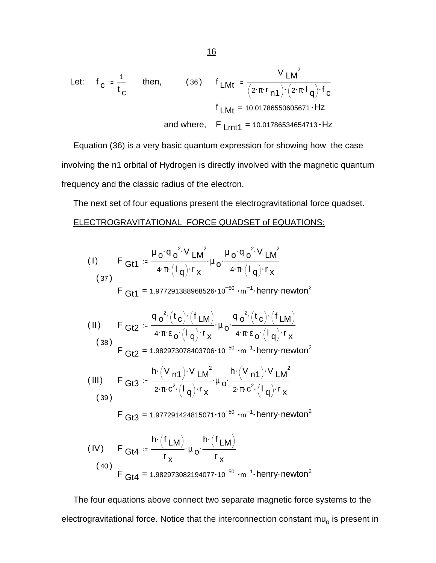Let: 
$$
f_C := \frac{1}{t_C}
$$
 then, (36)  $f_{LMt} := \frac{V_{LM}^2}{(2 \cdot \pi \cdot r_{n1}) \cdot (2 \cdot \pi \cdot l_q) \cdot r_C}$   
\n $f_{LMt} = 10.01786550605671 \cdot Hz$   
\nand where,  $F_{Lmt1} = 10.01786534654713 \cdot Hz$ 

 Equation (36) is a very basic quantum expression for showing how the case involving the n1 orbital of Hydrogen is directly involved with the magnetic quantum frequency and the classic radius of the electron.

 The next set of four equations present the electrogravitational force quadset. ELECTROGRAVITATIONAL FORCE QUADSET of EQUATIONS:

(1) 
$$
F_{Gt1} = \frac{\mu_0 \cdot q_0^2 \cdot V_{LM}^2}{4 \cdot \pi (l_q) \cdot r_x} \cdot \mu_0 \cdot \frac{\mu_0 \cdot q_0^2 \cdot V_{LM}^2}{4 \cdot \pi (l_q) \cdot r_x}
$$
  
\n(37)  
\n $F_{Gt1} = 1.977291388968526 \cdot 10^{-50} \cdot m^{-1} \cdot henry \cdot newton^2$   
\n(11)  $F_{Gt2} = \frac{q_0^2 (t_c) \cdot (f_{LM})}{4 \cdot \pi \cdot \epsilon_0 (l_q) \cdot r_x} \cdot \mu_0 \cdot \frac{q_0^2 (t_c) \cdot (f_{LM})}{4 \cdot \pi \cdot \epsilon_0 (l_q) \cdot r_x}$   
\n(38)  
\n $F_{Gt2} = 1.982973078403706 \cdot 10^{-50} \cdot m^{-1} \cdot henry \cdot newton^2$   
\n(11)  
\n $F_{Gt3} = \frac{h \cdot (V_{n1}) \cdot V_{LM}^2}{2 \cdot \pi \cdot c^2 (l_q) \cdot r_x} \cdot \mu_0 \cdot \frac{h \cdot (V_{n1}) \cdot V_{LM}^2}{2 \cdot \pi \cdot c^2 (l_q) \cdot r_x}$   
\n(39)  
\n $F_{Gt3} = 1.977291424815071 \cdot 10^{-50} \cdot m^{-1} \cdot henry \cdot newton^2$   
\n(1V)  $F_{Gt4} = \frac{h \cdot (f_{LM})}{r_x} \cdot \mu_0 \cdot \frac{h \cdot (f_{LM})}{r_x}$   
\n(40)  
\n $F_{Gt4} = 1.982973082194077 \cdot 10^{-50} \cdot m^{-1} \cdot henry \cdot newton^2$ 

 The four equations above connect two separate magnetic force systems to the electrogravitational force. Notice that the interconnection constant mu<sub>o</sub> is present in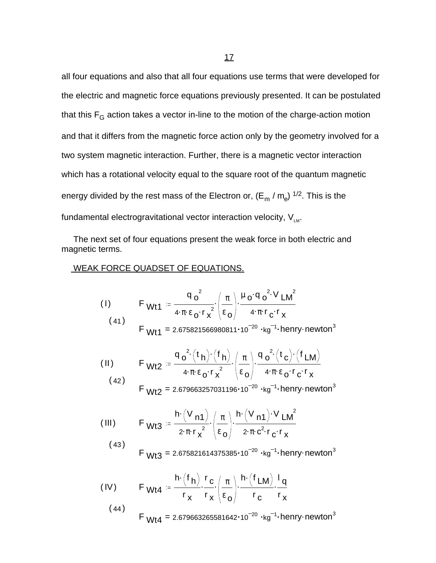all four equations and also that all four equations use terms that were developed for the electric and magnetic force equations previously presented. It can be postulated that this  $F_G$  action takes a vector in-line to the motion of the charge-action motion and that it differs from the magnetic force action only by the geometry involved for a two system magnetic interaction. Further, there is a magnetic vector interaction which has a rotational velocity equal to the square root of the quantum magnetic energy divided by the rest mass of the Electron or, (E<sub>m</sub> / m<sub>e</sub>) <sup>1/2</sup>. This is the fundamental electrogravitational vector interaction velocity,  $V_{LM}$ .

 The next set of four equations present the weak force in both electric and magnetic terms.

#### WEAK FORCE QUADSET OF EQUATIONS.

(1) 
$$
F_{Wt1} = \frac{q_0^2}{4 \cdot \pi \cdot \epsilon_0 \cdot r_x^2} \left(\frac{\pi}{\epsilon_0}\right) \cdot \frac{\mu_0 q_0^2 V_{LM}^2}{4 \cdot \pi \cdot r_c \cdot r_x}
$$

$$
W_{11} = 2.675821566980811 \cdot 10^{-20} \cdot \text{kg}^{-1} \cdot \text{henry}\cdot \text{newton}^{3}
$$

(II) 
$$
F_{Wt2} = \frac{q_0^2 (t_h) (t_h)}{4 \pi \epsilon_0 r_x^2} \left(\frac{\pi}{\epsilon_0}\right) \frac{q_0^2 (t_c) (t_{LM})}{4 \pi \epsilon_0 r_c r_x}
$$
(42)

$$
F_{Wt2} = 2.679663257031196 \cdot 10^{-20} \cdot kg^{-1} \cdot henry \cdot newton^{3}
$$

(III) 
$$
F_{Wt3} = \frac{h \cdot (V_{n1})}{2 \cdot \pi \cdot r_x^{2}} \cdot \left(\frac{\pi}{\epsilon_0}\right) \cdot \frac{h \cdot (V_{n1}) \cdot V_{LM}^{2}}{2 \cdot \pi \cdot c^{2} \cdot r_{C} \cdot r_{X}}
$$

(43) 
$$
F_{Wt3} = 2.675821614375385 \cdot 10^{-20} \cdot kg^{-1} \cdot henry \cdot newton^{3}
$$

(IV) 
$$
F_{Wt4} = \frac{h \cdot (f_h)}{r_x} \cdot \frac{r_c}{r_x} \cdot \left(\frac{\pi}{\epsilon_0}\right) \cdot \frac{h \cdot (f_{LM})}{r_c} \cdot \frac{I_q}{r_x}
$$
(44)

$$
FWt4 = 2.679663265581642 \cdot 10^{-20} \cdot \text{kg}^{-1} \cdot \text{henry}\cdot \text{newton}^{3}
$$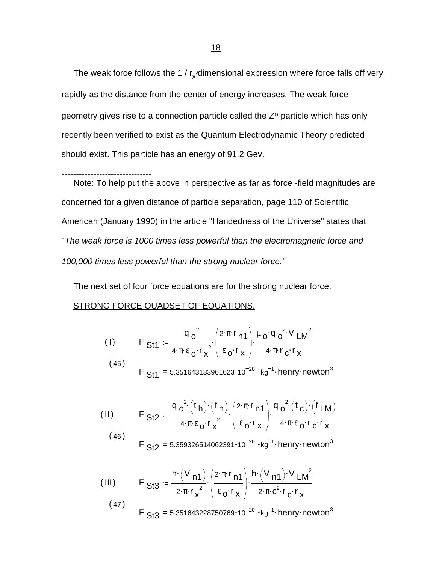The weak force follows the 1 /  $r_{\rm x}$ <sup>3</sup>dimensional expression where force falls off very rapidly as the distance from the center of energy increases. The weak force geometry gives rise to a connection particle called the Z<sup>o</sup> particle which has only recently been verified to exist as the Quantum Electrodynamic Theory predicted should exist. This particle has an energy of 91.2 Gev.

------------------------------- Note: To help put the above in perspective as far as force -field magnitudes are concerned for a given distance of particle separation, page 110 of Scientific American (January 1990) in the article "Handedness of the Universe" states that "*The weak force is 1000 times less powerful than the electromagnetic force and 100,000 times less powerful than the strong nuclear force."*

The next set of four force equations are for the strong nuclear force.

#### STRONG FORCE QUADSET OF EQUATIONS.

*\_\_\_\_\_\_\_\_\_\_\_\_\_\_\_\_\_*

(1) 
$$
F_{\text{St1}} = \frac{q_0^2}{4 \pi \epsilon_0 r_x^2} \left( \frac{2 \pi r_{\text{n1}}}{\epsilon_0 r_x} \right) \frac{\mu_0 q_0^2 V_{\text{LM}}}{4 \pi r_{\text{C}} r_x}
$$
  
(45) 
$$
F_{\text{St1}} = 5.351643133961623 \cdot 10^{-20} \cdot \text{kg}^{-1} \cdot \text{henry-newton}^3
$$

(II) 
$$
F_{\text{Sf2}} = \frac{q_o^2(t_h) \cdot (f_h)}{4 \cdot \pi \epsilon_o \cdot r_x^2} \cdot \left(\frac{2 \cdot \pi \cdot r_{n1}}{\epsilon_o \cdot r_x}\right) \cdot \frac{q_o^2(t_c) \cdot (f_{\text{LM}})}{4 \cdot \pi \cdot \epsilon_o \cdot r_c \cdot r_x}
$$
  
(46) 
$$
F_{\text{Sf2}} = 5.359326514062391 \cdot 10^{-20} \cdot \text{kg}^{-1} \cdot \text{henry-newton}^3
$$

(III) 
$$
F_{\text{S}t3} = \frac{h \cdot (V_{\text{n1}})}{2 \cdot \pi r_x^{2}} \cdot \left( \frac{2 \cdot \pi r_{\text{n1}}}{\epsilon_0 \cdot r_x} \right) \cdot \frac{h \cdot (V_{\text{n1}}) \cdot V_{\text{LM}}}{2 \cdot \pi \cdot c^2 \cdot r_c \cdot r_x}
$$

 $(47)$  $\mathsf{F}$  St3 = 5.351643228750769 $\cdot$ 10 $^{-20}$   $\cdot$ kg $^{-1}\cdot$ henry $\cdot$ newton $^3$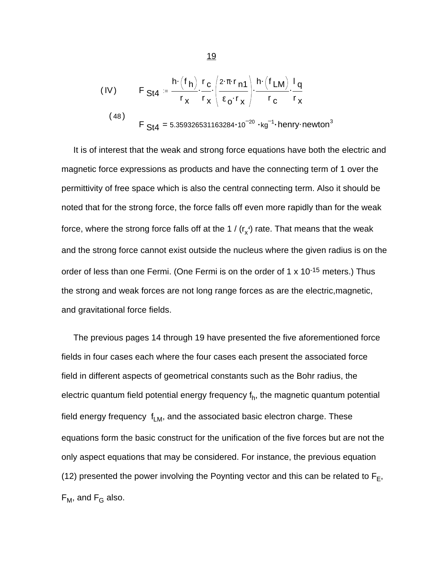(IV) 
$$
F_{\text{S}t4} = \frac{h \cdot (f_h)}{r_x} \cdot \frac{r_c}{r_x} \cdot \left(\frac{2 \cdot \pi \cdot r_{n1}}{\epsilon_0 \cdot r_x}\right) \cdot \frac{h \cdot (f_{\text{LM}})}{r_c} \cdot \frac{I_q}{r_x}
$$
  
(48) 
$$
F_{\text{S}t4} = 5.359326531163284 \cdot 10^{-20} \cdot \text{kg}^{-1} \cdot \text{henry}\cdot \text{newton}^3
$$

 It is of interest that the weak and strong force equations have both the electric and magnetic force expressions as products and have the connecting term of 1 over the permittivity of free space which is also the central connecting term. Also it should be noted that for the strong force, the force falls off even more rapidly than for the weak force, where the strong force falls off at the 1 / (r $_{\mathsf{x}}^{\mathsf{4}}$ ) rate. That means that the weak and the strong force cannot exist outside the nucleus where the given radius is on the order of less than one Fermi. (One Fermi is on the order of 1 x 10-15 meters.) Thus the strong and weak forces are not long range forces as are the electric,magnetic, and gravitational force fields.

 The previous pages 14 through 19 have presented the five aforementioned force fields in four cases each where the four cases each present the associated force field in different aspects of geometrical constants such as the Bohr radius, the electric quantum field potential energy frequency f<sub>h</sub>, the magnetic quantum potential field energy frequency  $f_{LM}$ , and the associated basic electron charge. These equations form the basic construct for the unification of the five forces but are not the only aspect equations that may be considered. For instance, the previous equation (12) presented the power involving the Poynting vector and this can be related to  $F_E$ ,  $F_M$ , and  $F_G$  also.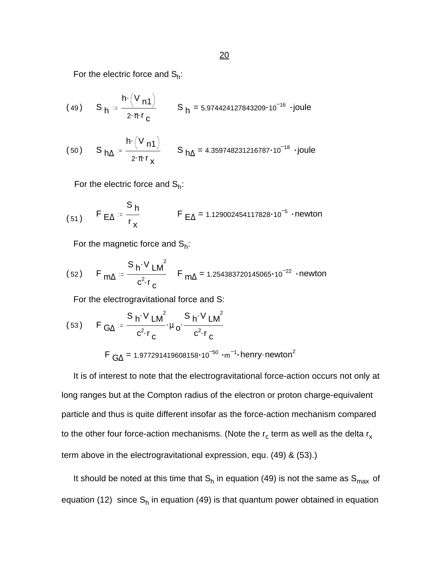For the electric force and  $S_h$ :

(49) 
$$
S_h = \frac{h \cdot (V_n 1)}{2 \cdot \pi \cdot r_c}
$$
  $S_h = 5.974424127843209 \cdot 10^{-16} \cdot joule$ 

(50) 
$$
S_{h\Delta} = \frac{h \cdot (V_{n1})}{2 \cdot \pi \cdot r_x}
$$
  $S_{h\Delta} = 4.359748231216787 \cdot 10^{-18}$  .joule

For the electric force and  $S_h$ :

(51) 
$$
F_{E\Delta} = \frac{S_h}{r_x}
$$
  $F_{E\Delta} = 1.129002454117828 \cdot 10^{-5}$  newton

For the magnetic force and  $S_h$ :

(52) 
$$
F_{m\Delta} = \frac{S_h \cdot V_{LM}^2}{c^2 \cdot r_c}
$$
  $F_{m\Delta} = 1.254383720145065 \cdot 10^{-22}$  newton

For the electrogravitational force and S:

(53) 
$$
F_{G\Delta} = \frac{S_h \cdot V_{LM}^2}{c^2 \cdot r_c} \cdot \mu_0 \cdot \frac{S_h \cdot V_{LM}^2}{c^2 \cdot r_c}
$$

$$
F_{G\Delta} = 1.977291419608158 \cdot 10^{-50} \cdot m^{-1} \cdot \text{henry}\cdot \text{newton}^2
$$

 It is of interest to note that the electrogravitational force-action occurs not only at long ranges but at the Compton radius of the electron or proton charge-equivalent particle and thus is quite different insofar as the force-action mechanism compared to the other four force-action mechanisms. (Note the r<sub>c</sub> term as well as the delta r<sub>x</sub> term above in the electrogravitational expression, equ. (49) & (53).)

It should be noted at this time that  $S_h$  in equation (49) is not the same as  $S_{\sf max}$  of equation (12) since S<sub>h</sub> in equation (49) is that quantum power obtained in equation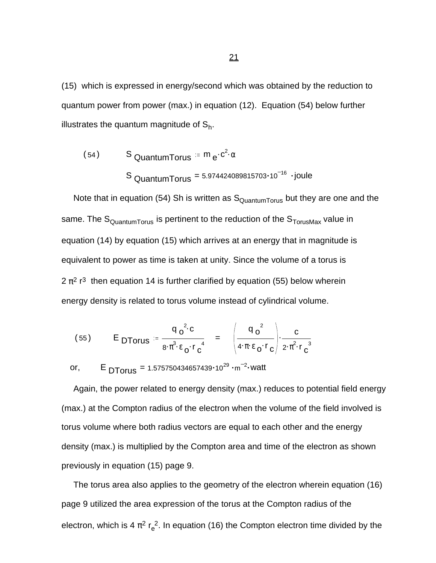(15) which is expressed in energy/second which was obtained by the reduction to quantum power from power (max.) in equation (12). Equation (54) below further illustrates the quantum magnitude of  $\mathsf{S}_{\mathsf{h}}$ .

$$
(54) \qquad S_{\text{QuantumTorus}} = m_e \cdot c^2 \cdot \alpha
$$
\n
$$
S_{\text{QuantumTorus}} = 5.974424089815703 \cdot 10^{-16} \cdot \text{joule}
$$

Note that in equation (54) Sh is written as  $S_{\text{QuantumTorus}}$  but they are one and the same. The  $S_{\text{QuantumTorus}}$  is pertinent to the reduction of the  $S_{\text{TorusMax}}$  value in equation (14) by equation (15) which arrives at an energy that in magnitude is equivalent to power as time is taken at unity. Since the volume of a torus is  $2 \pi^2$  r<sup>3</sup> then equation 14 is further clarified by equation (55) below wherein energy density is related to torus volume instead of cylindrical volume.

(55) 
$$
E_{\text{DTorus}} = \frac{q_0^2 c}{8 \cdot \pi^3 \cdot \epsilon_0 \cdot r_0^4} = \left(\frac{q_0^2}{4 \cdot \pi \cdot \epsilon_0 \cdot r_0}\right) \cdot \frac{c}{2 \cdot \pi^2 \cdot r_0^3}
$$

or,  $E_{\text{DTorus}} = 1.575750434657439 \cdot 10^{29} \cdot \text{m}^{-2} \cdot \text{watt}$ 

 Again, the power related to energy density (max.) reduces to potential field energy (max.) at the Compton radius of the electron when the volume of the field involved is torus volume where both radius vectors are equal to each other and the energy density (max.) is multiplied by the Compton area and time of the electron as shown previously in equation (15) page 9.

 The torus area also applies to the geometry of the electron wherein equation (16) page 9 utilized the area expression of the torus at the Compton radius of the electron, which is 4  $\pi^2$  r<sub>e</sub><sup>2</sup>. In equation (16) the Compton electron time divided by the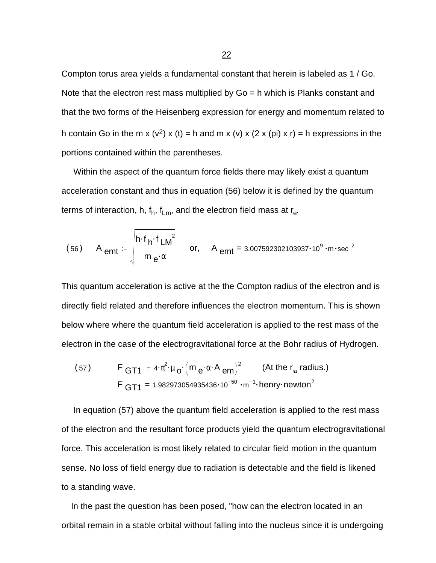Compton torus area yields a fundamental constant that herein is labeled as 1 / Go. Note that the electron rest mass multiplied by  $Go = h$  which is Planks constant and that the two forms of the Heisenberg expression for energy and momentum related to h contain Go in the m x (v<sup>2</sup>) x (t) = h and m x (v) x (2 x (pi) x r) = h expressions in the portions contained within the parentheses.

 Within the aspect of the quantum force fields there may likely exist a quantum acceleration constant and thus in equation (56) below it is defined by the quantum terms of interaction, h,  $\mathsf{f}_\mathsf{h},\mathsf{f}_\mathsf{Lm},$  and the electron field mass at  $\mathsf{r}_\mathsf{e}.$ 

(56) A 
$$
_{emt} = \sqrt{\frac{h \cdot f_h \cdot f_{LM}^2}{m_e \cdot \alpha}}
$$
 or, A  $_{emt} = 3.007592302103937 \cdot 10^9 \cdot m \cdot sec^{-2}$ 

This quantum acceleration is active at the the Compton radius of the electron and is directly field related and therefore influences the electron momentum. This is shown below where where the quantum field acceleration is applied to the rest mass of the electron in the case of the electrogravitational force at the Bohr radius of Hydrogen.

(57) 
$$
F_{GT1} = 4 \cdot \pi^2 \cdot \mu_0 \cdot (m_e \cdot \alpha \cdot A_{em})^2
$$
 (At the r<sub>n1</sub> radius.)  
 
$$
F_{GT1} = 1.982973054935436 \cdot 10^{-50} \cdot m^{-1} \cdot \text{henry}\cdot \text{newton}^2
$$

 In equation (57) above the quantum field acceleration is applied to the rest mass of the electron and the resultant force products yield the quantum electrogravitational force. This acceleration is most likely related to circular field motion in the quantum sense. No loss of field energy due to radiation is detectable and the field is likened to a standing wave.

 In the past the question has been posed, "how can the electron located in an orbital remain in a stable orbital without falling into the nucleus since it is undergoing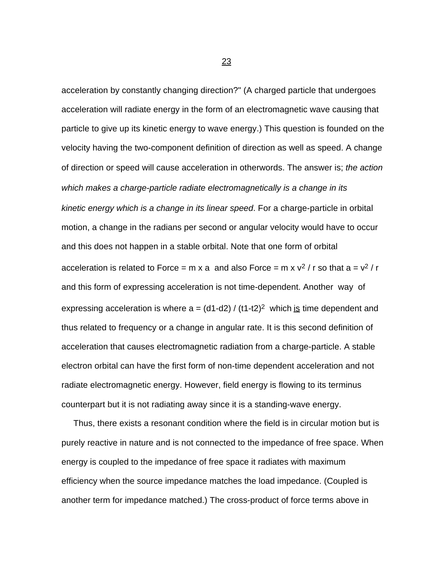acceleration by constantly changing direction?" (A charged particle that undergoes acceleration will radiate energy in the form of an electromagnetic wave causing that particle to give up its kinetic energy to wave energy.) This question is founded on the velocity having the two-component definition of direction as well as speed. A change of direction or speed will cause acceleration in otherwords. The answer is; *the action which makes a charge-particle radiate electromagnetically is a change in its kinetic energy which is a change in its linear speed*. For a charge-particle in orbital motion, a change in the radians per second or angular velocity would have to occur and this does not happen in a stable orbital. Note that one form of orbital acceleration is related to Force = m x a and also Force = m x  $v^2$  / r so that a =  $v^2$  / r and this form of expressing acceleration is not time-dependent. Another way of expressing acceleration is where  $a = (d1-d2) / (t1-t2)^2$  which is time dependent and thus related to frequency or a change in angular rate. It is this second definition of acceleration that causes electromagnetic radiation from a charge-particle. A stable electron orbital can have the first form of non-time dependent acceleration and not radiate electromagnetic energy. However, field energy is flowing to its terminus counterpart but it is not radiating away since it is a standing-wave energy.

 Thus, there exists a resonant condition where the field is in circular motion but is purely reactive in nature and is not connected to the impedance of free space. When energy is coupled to the impedance of free space it radiates with maximum efficiency when the source impedance matches the load impedance. (Coupled is another term for impedance matched.) The cross-product of force terms above in

<u>23 and 23 and 23 and 23 and 23 and 23 and 23 and 23 and 23 and 23 and 23 and 23 and 23 and 23 and 23 and 23 and 23 and 23 and 23 and 23 and 23 and 23  $\pm$ </u>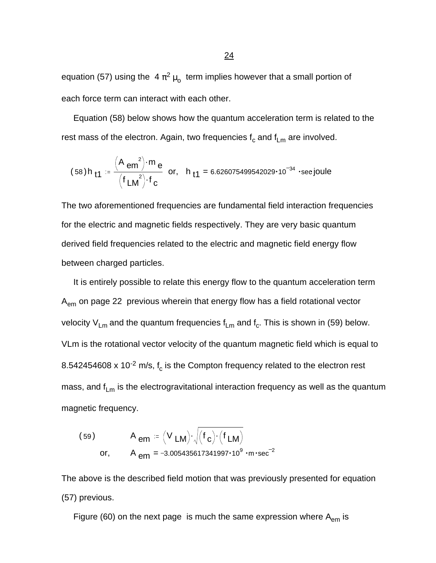equation (57) using the  $4\,\pi^2\,\mu_{\rm o}\,$  term implies however that a small portion of each force term can interact with each other.

 Equation (58) below shows how the quantum acceleration term is related to the rest mass of the electron. Again, two frequencies  $\bm{{\mathsf f}}_{\mathsf c}$  and  $\bm{{\mathsf f}}_{\mathsf L\bm{{\mathsf m}}}$  are involved.

$$
(58)h_{11} = \frac{(A_{em}^2) \cdot m_e}{(f_{LM}^2) \cdot f_c}
$$
 or,  $h_{11} = 6.626075499542029 \cdot 10^{-34}$  ·sec joule

The two aforementioned frequencies are fundamental field interaction frequencies for the electric and magnetic fields respectively. They are very basic quantum derived field frequencies related to the electric and magnetic field energy flow between charged particles.

 It is entirely possible to relate this energy flow to the quantum acceleration term A<sub>em</sub> on page 22 previous wherein that energy flow has a field rotational vector velocity V<sub>Lm</sub> and the quantum frequencies f<sub>Lm</sub> and f<sub>c</sub>. This is shown in (59) below. VLm is the rotational vector velocity of the quantum magnetic field which is equal to 8.542454608 x 10<sup>-2</sup> m/s, f<sub>c</sub> is the Compton frequency related to the electron rest mass, and  $f_{Lm}$  is the electrogravitational interaction frequency as well as the quantum magnetic frequency.

(59) 
$$
A_{em} = (V_{LM}) \cdot \sqrt{(f_c) \cdot (f_{LM})}
$$
  
or,  $A_{em} = -3.005435617341997 \cdot 10^9 \cdot m \cdot sec^{-2}$ 

The above is the described field motion that was previously presented for equation (57) previous.

Figure (60) on the next page is much the same expression where  $A_{em}$  is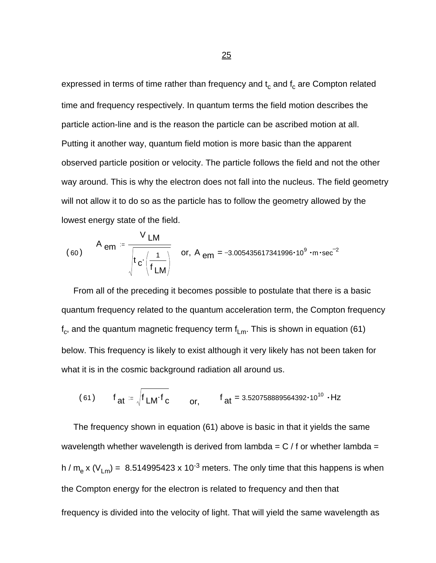expressed in terms of time rather than frequency and  $\mathfrak{t}_{\rm c}$  and  $\mathfrak{f}_{\rm c}$  are Compton related time and frequency respectively. In quantum terms the field motion describes the particle action-line and is the reason the particle can be ascribed motion at all. Putting it another way, quantum field motion is more basic than the apparent observed particle position or velocity. The particle follows the field and not the other way around. This is why the electron does not fall into the nucleus. The field geometry will not allow it to do so as the particle has to follow the geometry allowed by the lowest energy state of the field.

(60) 
$$
A_{em} = \frac{V_{LM}}{\sqrt{t_c \left(\frac{1}{f_{LM}}\right)}}
$$
 or,  $A_{em} = -3.005435617341996 \cdot 10^9 \cdot m \cdot sec^{-2}}$ 

 From all of the preceding it becomes possible to postulate that there is a basic quantum frequency related to the quantum acceleration term, the Compton frequency  $\mathsf{f}_\mathrm{c}$ , and the quantum magnetic frequency term  $\mathsf{f}_\mathsf{Lm}$ . This is shown in equation (61) below. This frequency is likely to exist although it very likely has not been taken for what it is in the cosmic background radiation all around us.

(61) 
$$
f_{at} = \sqrt{f_{LM} \cdot f_{c}}
$$
 or,  $f_{at} = 3.520758889564392 \cdot 10^{10} \cdot Hz}$ 

 The frequency shown in equation (61) above is basic in that it yields the same wavelength whether wavelength is derived from lambda =  $C / f$  or whether lambda = h / m<sub>e</sub> x (V<sub>Lm</sub>) = 8.514995423 x 10<sup>-3</sup> meters. The only time that this happens is when the Compton energy for the electron is related to frequency and then that frequency is divided into the velocity of light. That will yield the same wavelength as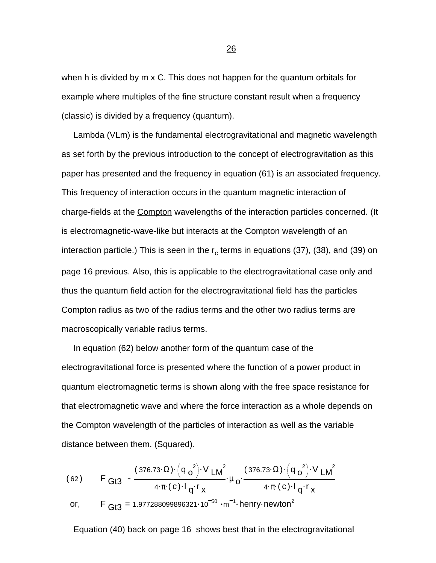when h is divided by m x C. This does not happen for the quantum orbitals for example where multiples of the fine structure constant result when a frequency (classic) is divided by a frequency (quantum).

 Lambda (VLm) is the fundamental electrogravitational and magnetic wavelength as set forth by the previous introduction to the concept of electrogravitation as this paper has presented and the frequency in equation (61) is an associated frequency. This frequency of interaction occurs in the quantum magnetic interaction of charge-fields at the Compton wavelengths of the interaction particles concerned. (It is electromagnetic-wave-like but interacts at the Compton wavelength of an interaction particle.) This is seen in the r<sub>c</sub> terms in equations (37), (38), and (39) on page 16 previous. Also, this is applicable to the electrogravitational case only and thus the quantum field action for the electrogravitational field has the particles Compton radius as two of the radius terms and the other two radius terms are macroscopically variable radius terms.

 In equation (62) below another form of the quantum case of the electrogravitational force is presented where the function of a power product in quantum electromagnetic terms is shown along with the free space resistance for that electromagnetic wave and where the force interaction as a whole depends on the Compton wavelength of the particles of interaction as well as the variable distance between them. (Squared).

(62) 
$$
F_{G13} = \frac{(376.73 \cdot \Omega) \cdot (q_0^2) \cdot V_{LM}^2}{4 \cdot \pi \cdot (c) \cdot l_q \cdot r_x} \cdot \mu_0 \cdot \frac{(376.73 \cdot \Omega) \cdot (q_0^2) \cdot V_{LM}^2}{4 \cdot \pi \cdot (c) \cdot l_q \cdot r_x}
$$
  
or, 
$$
F_{G13} = 1.977288099896321 \cdot 10^{-50} \cdot m^{-1} \cdot \text{henry-newton}^2
$$

Equation (40) back on page 16 shows best that in the electrogravitational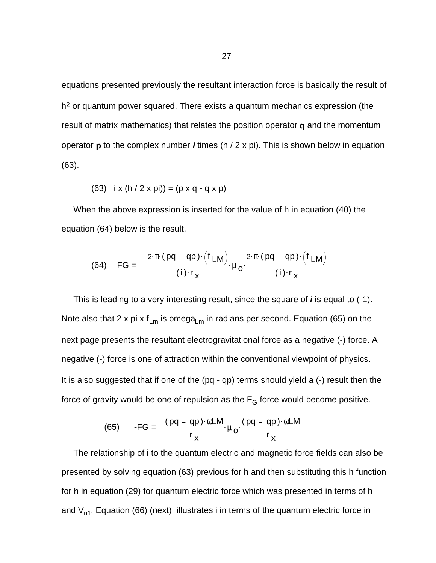equations presented previously the resultant interaction force is basically the result of h<sup>2</sup> or quantum power squared. There exists a quantum mechanics expression (the result of matrix mathematics) that relates the position operator **q** and the momentum operator **p** to the complex number *i* times (h / 2 x pi). This is shown below in equation (63).

(63) 
$$
i \times (h / 2 \times pi) = (p \times q - q \times p)
$$

 When the above expression is inserted for the value of h in equation (40) the equation (64) below is the result.

(64) 
$$
FG = \frac{2 \cdot \pi \cdot (pq - qp) \cdot (f_{LM})}{(i) \cdot r_X} \cdot \mu_0 \cdot \frac{2 \cdot \pi \cdot (pq - qp) \cdot (f_{LM})}{(i) \cdot r_X}
$$

 This is leading to a very interesting result, since the square of *i* is equal to (-1). Note also that 2 x pi x  $f_{\text{Lm}}$  is omega<sub>Lm</sub> in radians per second. Equation (65) on the next page presents the resultant electrogravitational force as a negative (-) force. A negative (-) force is one of attraction within the conventional viewpoint of physics. It is also suggested that if one of the (pq - qp) terms should yield a (-) result then the force of gravity would be one of repulsion as the  $F_G$  force would become positive.

(65) 
$$
-FG = \frac{(pq - qp) \cdot \omega LM}{r_x} \cdot \mu_0 \cdot \frac{(pq - qp) \cdot \omega LM}{r_x}
$$

 The relationship of i to the quantum electric and magnetic force fields can also be presented by solving equation (63) previous for h and then substituting this h function for h in equation (29) for quantum electric force which was presented in terms of h and  $V_{n1}$ . Equation (66) (next) illustrates i in terms of the quantum electric force in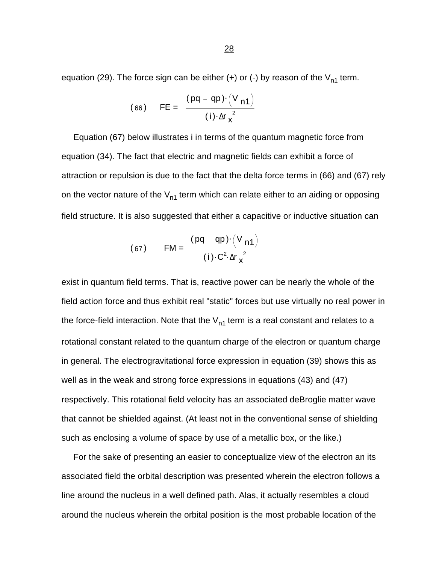equation (29). The force sign can be either (+) or (-) by reason of the  $V_{n1}$  term.

(66) 
$$
FE = \frac{(pq - qp) \cdot (V_{n1})}{(i) \cdot \Delta r_{\mathbf{x}}^{2}}
$$

 Equation (67) below illustrates i in terms of the quantum magnetic force from equation (34). The fact that electric and magnetic fields can exhibit a force of attraction or repulsion is due to the fact that the delta force terms in (66) and (67) rely on the vector nature of the  $V_{n1}$  term which can relate either to an aiding or opposing field structure. It is also suggested that either a capacitive or inductive situation can

(67) 
$$
FM = \frac{(pq - qp) \cdot (V_{n1})}{(i) \cdot C^2 \cdot \Delta r_x^2}
$$

exist in quantum field terms. That is, reactive power can be nearly the whole of the field action force and thus exhibit real "static" forces but use virtually no real power in the force-field interaction. Note that the  $V_{n1}$  term is a real constant and relates to a rotational constant related to the quantum charge of the electron or quantum charge in general. The electrogravitational force expression in equation (39) shows this as well as in the weak and strong force expressions in equations (43) and (47) respectively. This rotational field velocity has an associated deBroglie matter wave that cannot be shielded against. (At least not in the conventional sense of shielding such as enclosing a volume of space by use of a metallic box, or the like.)

 For the sake of presenting an easier to conceptualize view of the electron an its associated field the orbital description was presented wherein the electron follows a line around the nucleus in a well defined path. Alas, it actually resembles a cloud around the nucleus wherein the orbital position is the most probable location of the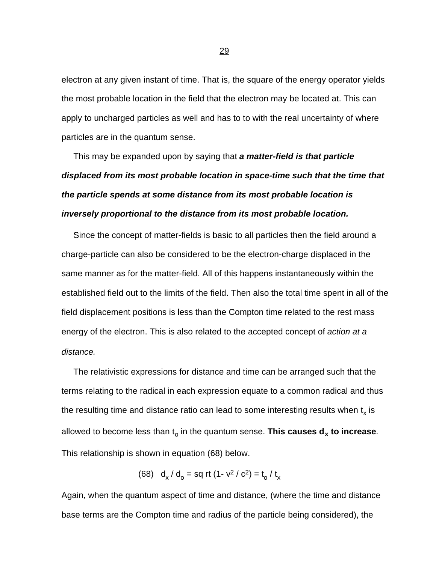electron at any given instant of time. That is, the square of the energy operator yields the most probable location in the field that the electron may be located at. This can apply to uncharged particles as well and has to to with the real uncertainty of where particles are in the quantum sense.

 This may be expanded upon by saying that *a matter-field is that particle displaced from its most probable location in space-time such that the time that the particle spends at some distance from its most probable location is inversely proportional to the distance from its most probable location.*

 Since the concept of matter-fields is basic to all particles then the field around a charge-particle can also be considered to be the electron-charge displaced in the same manner as for the matter-field. All of this happens instantaneously within the established field out to the limits of the field. Then also the total time spent in all of the field displacement positions is less than the Compton time related to the rest mass energy of the electron. This is also related to the accepted concept of *action at a distance.*

 The relativistic expressions for distance and time can be arranged such that the terms relating to the radical in each expression equate to a common radical and thus the resulting time and distance ratio can lead to some interesting results when  $\mathfrak{t}_{\mathsf{x}}$  is allowed to become less than t<sub>o</sub> in the quantum sense. **This causes d<sub>x</sub> to increase**. This relationship is shown in equation (68) below.

(68) 
$$
d_x/d_o = sq \text{ rt } (1 - v^2 / c^2) = t_o / t_x
$$

Again, when the quantum aspect of time and distance, (where the time and distance base terms are the Compton time and radius of the particle being considered), the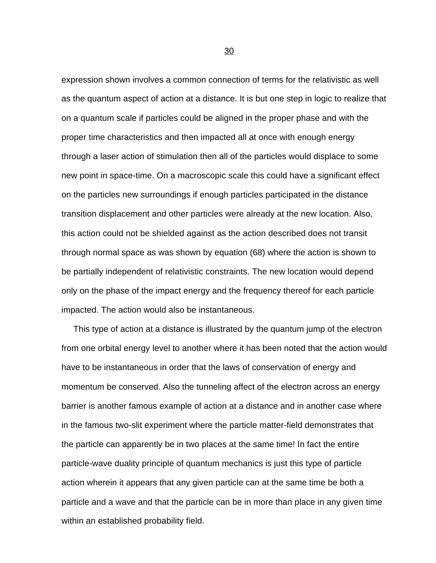expression shown involves a common connection of terms for the relativistic as well as the quantum aspect of action at a distance. It is but one step in logic to realize that on a quantum scale if particles could be aligned in the proper phase and with the proper time characteristics and then impacted all at once with enough energy through a laser action of stimulation then all of the particles would displace to some new point in space-time. On a macroscopic scale this could have a significant effect on the particles new surroundings if enough particles participated in the distance transition displacement and other particles were already at the new location. Also, this action could not be shielded against as the action described does not transit through normal space as was shown by equation (68) where the action is shown to be partially independent of relativistic constraints. The new location would depend only on the phase of the impact energy and the frequency thereof for each particle impacted. The action would also be instantaneous.

 This type of action at a distance is illustrated by the quantum jump of the electron from one orbital energy level to another where it has been noted that the action would have to be instantaneous in order that the laws of conservation of energy and momentum be conserved. Also the tunneling affect of the electron across an energy barrier is another famous example of action at a distance and in another case where in the famous two-slit experiment where the particle matter-field demonstrates that the particle can apparently be in two places at the same time! In fact the entire particle-wave duality principle of quantum mechanics is just this type of particle action wherein it appears that any given particle can at the same time be both a particle and a wave and that the particle can be in more than place in any given time within an established probability field.

 $\sim$  30